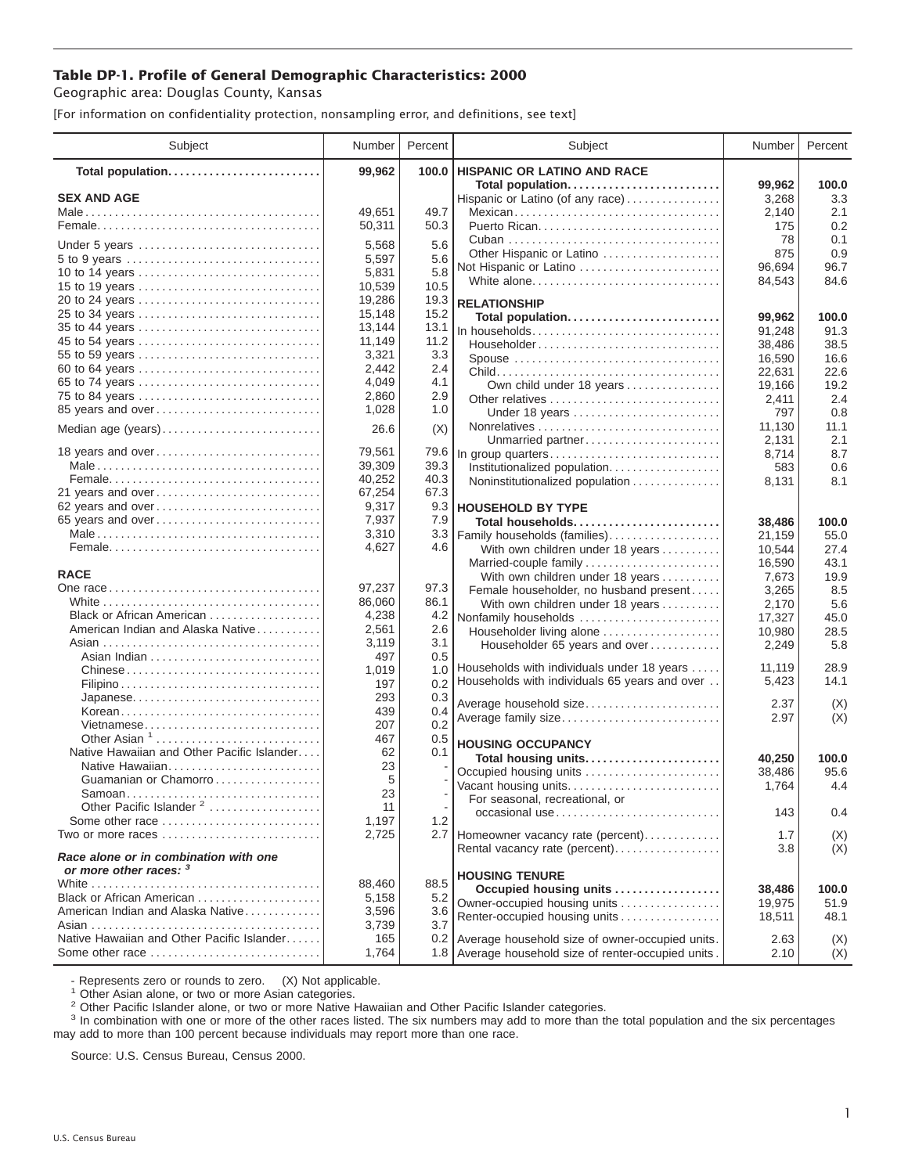## **Table DP-1. Profile of General Demographic Characteristics: 2000**

Geographic area: Douglas County, Kansas

[For information on confidentiality protection, nonsampling error, and definitions, see text]

| Subject                                                                 | Number           | Percent      | Subject                                              | Number           | Percent       |
|-------------------------------------------------------------------------|------------------|--------------|------------------------------------------------------|------------------|---------------|
| Total population                                                        | 99,962           | 100.0        | <b>HISPANIC OR LATINO AND RACE</b>                   |                  |               |
| <b>SEX AND AGE</b>                                                      |                  |              | Total population<br>Hispanic or Latino (of any race) | 99.962<br>3,268  | 100.0<br>3.3  |
|                                                                         | 49.651           | 49.7         | Mexican                                              | 2,140            | 2.1           |
|                                                                         | 50,311           | 50.3         |                                                      | 175              | 0.2           |
|                                                                         |                  |              |                                                      | 78               | 0.1           |
| Under 5 years                                                           | 5,568            | 5.6          | Other Hispanic or Latino                             | 875              | 0.9           |
| 10 to 14 years                                                          | 5,597<br>5,831   | 5.6<br>5.8   | Not Hispanic or Latino                               | 96,694           | 96.7          |
| 15 to 19 years                                                          | 10,539           | 10.5         | White alone                                          | 84,543           | 84.6          |
|                                                                         | 19,286           | 19.3         | <b>RELATIONSHIP</b>                                  |                  |               |
| 25 to 34 years                                                          | 15,148           | 15.2         | Total population                                     | 99,962           | 100.0         |
| 35 to 44 years                                                          | 13,144           | 13.1         | In households                                        | 91,248           | 91.3          |
| 45 to 54 years                                                          | 11,149           | 11.2         | Householder                                          | 38,486           | 38.5          |
| 55 to 59 years                                                          | 3,321            | 3.3          | Spouse                                               | 16,590           | 16.6          |
| 60 to 64 years                                                          | 2,442            | 2.4          |                                                      | 22,631           | 22.6          |
| 65 to 74 years                                                          | 4,049            | 4.1          | Own child under 18 years                             | 19,166           | 19.2          |
| 75 to 84 years                                                          | 2,860            | 2.9          | Other relatives                                      | 2,411            | 2.4           |
| 85 years and over                                                       | 1,028            | 1.0          | Under 18 years                                       | 797              | 0.8           |
| Median age (years)                                                      | 26.6             | (X)          |                                                      | 11,130           | 11.1          |
|                                                                         |                  |              | Unmarried partner                                    | 2,131            | 2.1           |
| 18 years and over                                                       | 79,561           | 79.6<br>39.3 | In group quarters                                    | 8,714            | 8.7           |
|                                                                         | 39,309<br>40,252 | 40.3         | Institutionalized population.                        | 583              | 0.6           |
| 21 years and over                                                       | 67,254           | 67.3         | Noninstitutionalized population                      | 8,131            | 8.1           |
| 62 years and over                                                       | 9,317            | 9.3          | <b>HOUSEHOLD BY TYPE</b>                             |                  |               |
| 65 years and over                                                       | 7,937            | 7.9          | Total households                                     | 38,486           | 100.0         |
|                                                                         | 3,310            | 3.3          | Family households (families)                         | 21,159           | 55.0          |
|                                                                         | 4,627            | 4.6          | With own children under 18 years                     | 10,544           | 27.4          |
|                                                                         |                  |              | Married-couple family                                | 16,590           | 43.1          |
| <b>RACE</b>                                                             |                  |              | With own children under 18 years                     | 7,673            | 19.9          |
|                                                                         | 97,237           | 97.3         | Female householder, no husband present               | 3,265            | 8.5           |
|                                                                         | 86,060           | 86.1         | With own children under 18 years                     | 2,170            | 5.6           |
| Black or African American                                               | 4,238            | 4.2          | Nonfamily households                                 | 17,327           | 45.0          |
| American Indian and Alaska Native                                       | 2,561<br>3,119   | 2.6<br>3.1   | Householder living alone                             | 10,980           | 28.5          |
|                                                                         | 497              | 0.5          | Householder 65 years and over                        | 2,249            | 5.8           |
| Chinese                                                                 | 1,019            | 1.0          | Households with individuals under 18 years           | 11,119           | 28.9          |
|                                                                         | 197              | 0.2          | Households with individuals 65 years and over        | 5,423            | 14.1          |
| Japanese                                                                | 293              | 0.3          |                                                      |                  |               |
| Korean                                                                  | 439              | 0.4          | Average household size                               | 2.37<br>2.97     | (X)<br>(X)    |
| Vietnamese                                                              | 207              | 0.2          | Average family size                                  |                  |               |
| Other Asian $1, \ldots, \ldots, \ldots, \ldots, \ldots, \ldots, \ldots$ | 467              | 0.5          | <b>HOUSING OCCUPANCY</b>                             |                  |               |
| Native Hawaiian and Other Pacific Islander                              | 62               | 0.1          | Total housing units                                  | 40,250           | 100.0         |
| Native Hawaiian                                                         | 23               |              | Occupied housing units                               | 38,486           | 95.6          |
| Guamanian or Chamorro                                                   | 5                |              | Vacant housing units                                 | 1,764            | 4.4           |
| Samoan<br>Other Pacific Islander <sup>2</sup>                           | 23<br>11         |              | For seasonal, recreational, or                       |                  |               |
| Some other race                                                         | 1,197            | 1.2          | $occasional use \dots  \dots  \dots $                | 143              | 0.4           |
| Two or more races                                                       | 2,725            |              | 2.7 Homeowner vacancy rate (percent)                 | 1.7              | (X)           |
|                                                                         |                  |              | Rental vacancy rate (percent)                        | 3.8              | (X)           |
| Race alone or in combination with one<br>or more other races: 3         |                  |              |                                                      |                  |               |
|                                                                         | 88,460           | 88.5         | <b>HOUSING TENURE</b><br>Occupied housing units      |                  |               |
| Black or African American                                               | 5,158            | 5.2          | Owner-occupied housing units                         | 38,486<br>19,975 | 100.0<br>51.9 |
| American Indian and Alaska Native                                       | 3,596            | 3.6          | Renter-occupied housing units                        | 18,511           | 48.1          |
|                                                                         | 3,739            | 3.7          |                                                      |                  |               |
| Native Hawaiian and Other Pacific Islander                              | 165              |              | 0.2 Average household size of owner-occupied units.  | 2.63             | (X)           |
| Some other race                                                         | 1,764            |              | 1.8 Average household size of renter-occupied units. | 2.10             | (X)           |

- Represents zero or rounds to zero. (X) Not applicable.<br><sup>1</sup> Other Asian alone, or two or more Asian categories.

<sup>2</sup> Other Pacific Islander alone, or two or more Native Hawaiian and Other Pacific Islander categories.<br><sup>3</sup> In combination with one or more of the other races listed. The six numbers may add to more than the total populati may add to more than 100 percent because individuals may report more than one race.

Source: U.S. Census Bureau, Census 2000.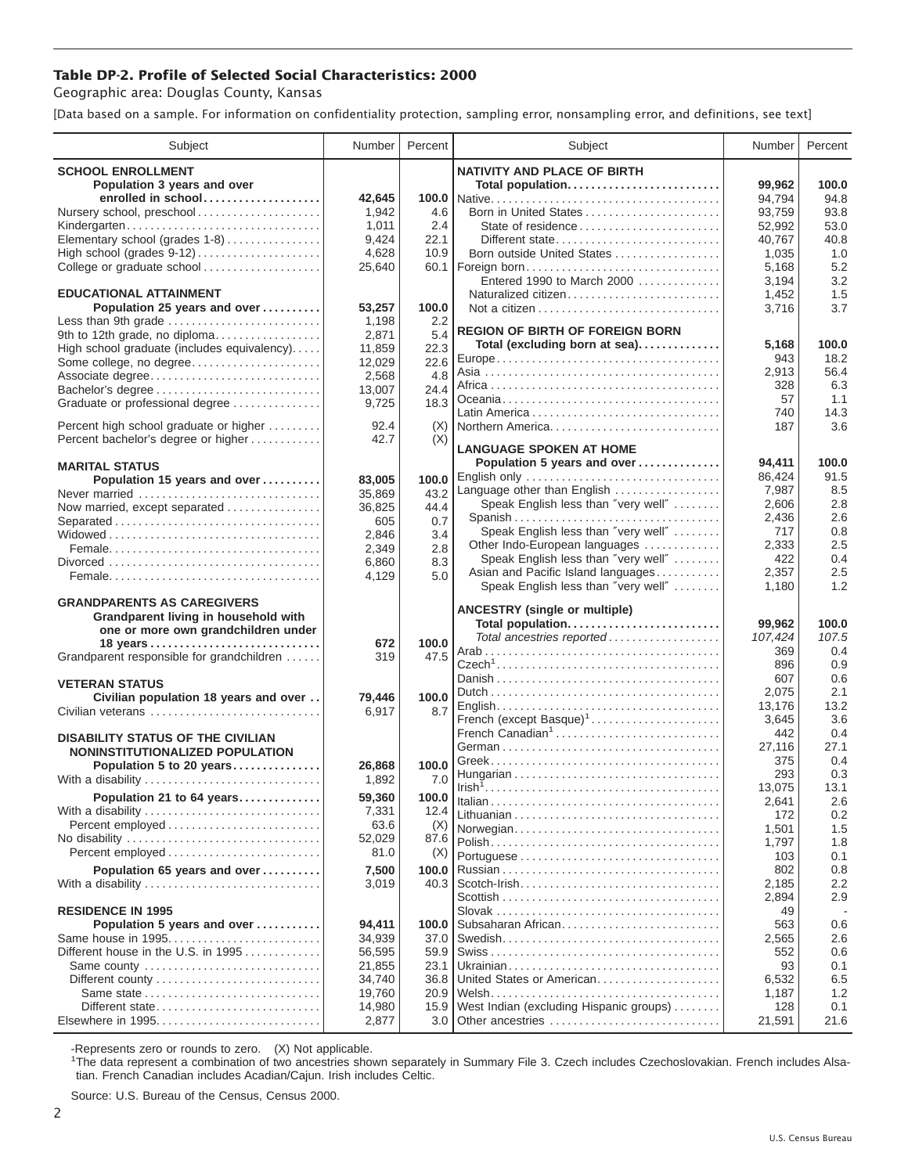## **Table DP-2. Profile of Selected Social Characteristics: 2000**

Geographic area: Douglas County, Kansas

[Data based on a sample. For information on confidentiality protection, sampling error, nonsampling error, and definitions, see text]

| Subject                                                        | Number           | Percent          | Subject                                           | Number            | Percent        |
|----------------------------------------------------------------|------------------|------------------|---------------------------------------------------|-------------------|----------------|
| <b>SCHOOL ENROLLMENT</b>                                       |                  |                  | <b>NATIVITY AND PLACE OF BIRTH</b>                |                   |                |
| Population 3 years and over                                    |                  |                  | Total population                                  | 99,962            | 100.0          |
| enrolled in school                                             | 42.645           |                  |                                                   | 94,794            | 94.8           |
| Nursery school, preschool                                      | 1,942            | 4.6              | Born in United States                             | 93,759            | 93.8           |
| Kindergarten                                                   | 1,011            | 2.4              | State of residence                                | 52,992            | 53.0           |
| Elementary school (grades 1-8)                                 | 9,424            | 22.1             | Different state                                   | 40,767            | 40.8           |
|                                                                | 4,628            | 10.9             | Born outside United States                        | 1,035             | 1.0            |
| College or graduate school                                     | 25,640           | 60.1             | Foreign born                                      | 5,168             | 5.2            |
| <b>EDUCATIONAL ATTAINMENT</b>                                  |                  |                  | Entered 1990 to March 2000<br>Naturalized citizen | 3,194             | 3.2<br>1.5     |
| Population 25 years and over                                   | 53,257           | 100.0            |                                                   | 1,452<br>3,716    | 3.7            |
| Less than 9th grade                                            | 1,198            | 2.2              |                                                   |                   |                |
| 9th to 12th grade, no diploma                                  | 2,871            | 5.4              | <b>REGION OF BIRTH OF FOREIGN BORN</b>            |                   |                |
| High school graduate (includes equivalency)                    | 11,859           | 22.3             | Total (excluding born at sea)                     | 5,168             | 100.0          |
| Some college, no degree                                        | 12,029           | 22.6             |                                                   | 943               | 18.2           |
| Associate degree                                               | 2,568            | 4.8              |                                                   | 2,913             | 56.4           |
| Bachelor's degree                                              | 13,007           | 24.4             |                                                   | 328               | 6.3            |
| Graduate or professional degree                                | 9,725            | 18.3             |                                                   | 57<br>740         | 1.1<br>14.3    |
| Percent high school graduate or higher                         | 92.4             | (X)              | Northern America                                  | 187               | 3.6            |
| Percent bachelor's degree or higher                            | 42.7             | (X)              |                                                   |                   |                |
|                                                                |                  |                  | <b>LANGUAGE SPOKEN AT HOME</b>                    |                   |                |
| <b>MARITAL STATUS</b>                                          |                  |                  | Population 5 years and over                       | 94,411            | 100.0          |
| Population 15 years and over                                   | 83,005           | 100.0            | English only                                      | 86,424            | 91.5           |
| Never married                                                  | 35,869           | 43.2             | Language other than English                       | 7,987             | 8.5            |
| Now married, except separated                                  | 36,825           | 44.4             | Speak English less than "very well"               | 2,606             | 2.8<br>2.6     |
| Separated                                                      | 605              | 0.7              | Spanish<br>Speak English less than "very well"    | 2,436<br>717      | 0.8            |
|                                                                | 2,846            | 3.4              | Other Indo-European languages                     | 2,333             | 2.5            |
|                                                                | 2,349            | 2.8              | Speak English less than "very well"               | 422               | 0.4            |
|                                                                | 6,860<br>4,129   | 8.3<br>5.0       | Asian and Pacific Island languages                | 2,357             | 2.5            |
|                                                                |                  |                  | Speak English less than "very well"               | 1,180             | 1.2            |
| <b>GRANDPARENTS AS CAREGIVERS</b>                              |                  |                  |                                                   |                   |                |
| Grandparent living in household with                           |                  |                  | <b>ANCESTRY</b> (single or multiple)              |                   |                |
| one or more own grandchildren under                            |                  |                  | Total population<br>Total ancestries reported     | 99,962<br>107,424 | 100.0<br>107.5 |
|                                                                | 672              | 100.0            |                                                   | 369               | 0.4            |
| Grandparent responsible for grandchildren                      | 319              | 47.5             |                                                   | 896               | 0.9            |
|                                                                |                  |                  |                                                   | 607               | 0.6            |
| <b>VETERAN STATUS</b><br>Civilian population 18 years and over | 79,446           | 100.0            |                                                   | 2,075             | 2.1            |
| Civilian veterans                                              | 6,917            | 8.7              |                                                   | 13,176            | 13.2           |
|                                                                |                  |                  | French (except Basque) <sup>1</sup>               | 3,645             | 3.6            |
| <b>DISABILITY STATUS OF THE CIVILIAN</b>                       |                  |                  | French Canadian <sup>1</sup>                      | 442               | 0.4            |
| NONINSTITUTIONALIZED POPULATION                                |                  |                  |                                                   | 27,116            | 27.1           |
| Population 5 to 20 years                                       | 26,868           | 100.0            |                                                   | 375               | 0.4            |
| With a disability                                              | 1,892            | 7.0              |                                                   | 293<br>13,075     | 0.3<br>13.1    |
| Population 21 to 64 years                                      | 59,360           | 100.0            |                                                   | 2,641             | 2.6            |
| With a disability                                              | 7,331            | 12.4             |                                                   | 172               | 0.2            |
| Percent employed                                               | 63.6             | (X)              | Norwegian                                         | 1,501             | 1.5            |
| No disability                                                  | 52,029           | 87.6             |                                                   | 1,797             | 1.8            |
| Percent employed                                               | 81.0             | (X)              |                                                   | 103               | 0.1            |
| Population 65 years and over                                   | 7,500            | 100.0            |                                                   | 802               | 0.8            |
| With a disability                                              | 3,019            | 40.3             |                                                   | 2.185             | 2.2            |
|                                                                |                  |                  |                                                   | 2,894             | 2.9            |
| <b>RESIDENCE IN 1995</b>                                       |                  |                  |                                                   | 49                |                |
| Population 5 years and over<br>Same house in 1995              | 94,411<br>34,939 | 100.0<br>37.0    | Subsaharan African                                | 563               | 0.6<br>2.6     |
| Different house in the U.S. in 1995                            | 56,595           | 59.9             |                                                   | 2,565<br>552      | 0.6            |
| Same county                                                    | 21,855           | 23.1             |                                                   | 93                | 0.1            |
|                                                                | 34,740           | 36.8             | United States or American                         | 6,532             | 6.5            |
|                                                                | 19,760           | 20.9             |                                                   | 1,187             | 1.2            |
| Different state                                                | 14,980           | 15.9             | West Indian (excluding Hispanic groups)           | 128               | 0.1            |
| Elsewhere in 1995                                              | 2,877            | 3.0 <sub>1</sub> | Other ancestries                                  | 21,591            | 21.6           |

-Represents zero or rounds to zero. (X) Not applicable. 1 The data represent a combination of two ancestries shown separately in Summary File 3. Czech includes Czechoslovakian. French includes Alsatian. French Canadian includes Acadian/Cajun. Irish includes Celtic.

Source: U.S. Bureau of the Census, Census 2000.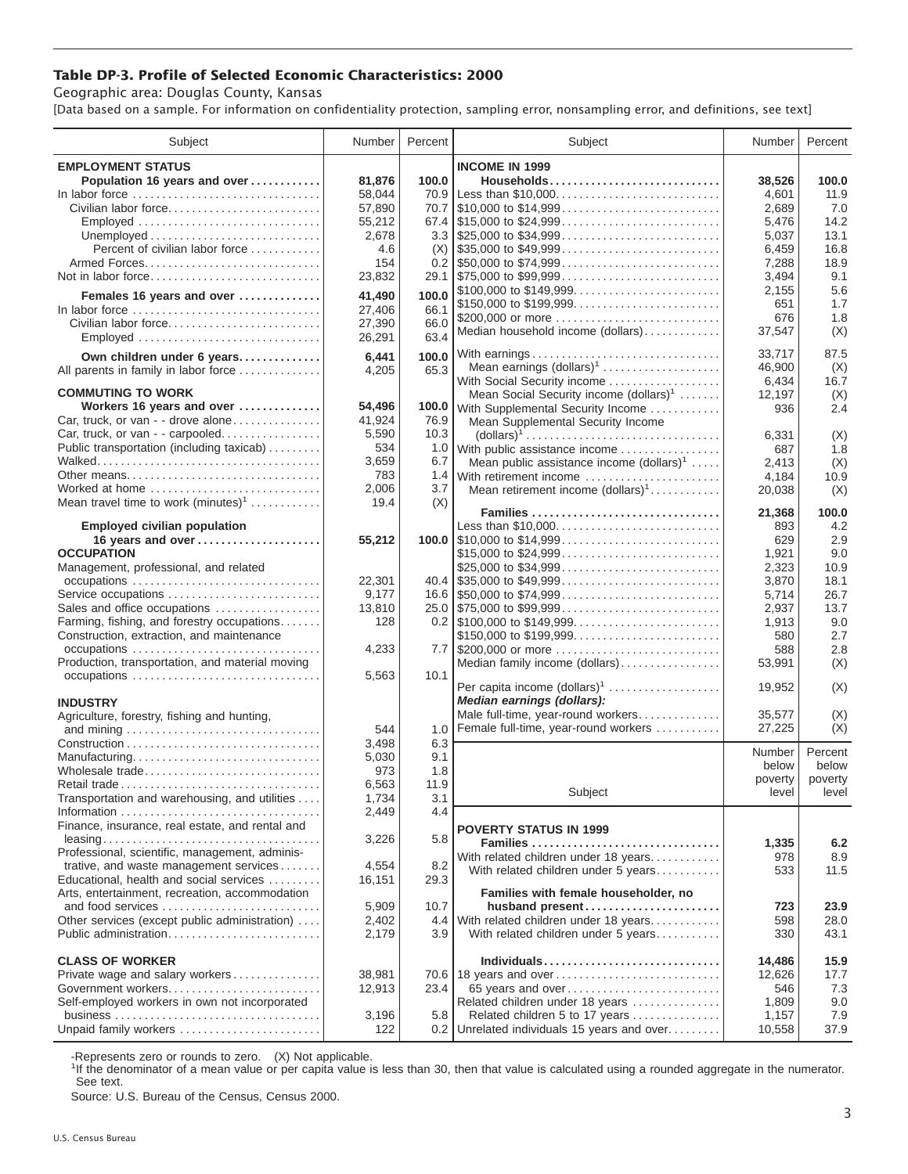## **Table DP-3. Profile of Selected Economic Characteristics: 2000**

Geographic area: Douglas County, Kansas

[Data based on a sample. For information on confidentiality protection, sampling error, nonsampling error, and definitions, see text]

| Subject                                                                         | Number | Percent | Subject                                                                                | Number        | Percent |
|---------------------------------------------------------------------------------|--------|---------|----------------------------------------------------------------------------------------|---------------|---------|
| <b>EMPLOYMENT STATUS</b>                                                        |        |         | <b>INCOME IN 1999</b>                                                                  |               |         |
| Population 16 years and over                                                    | 81,876 | 100.0   | Households                                                                             | 38,526        | 100.0   |
| In labor force                                                                  | 58,044 | 70.9    | Less than \$10,000                                                                     | 4,601         | 11.9    |
| Civilian labor force                                                            | 57,890 | 70.7    | $\frac{1}{2}10,000$ to \$14,999                                                        | 2.689         | 7.0     |
| Employed                                                                        | 55,212 |         |                                                                                        | 5,476         | 14.2    |
|                                                                                 | 2,678  |         | $3.3$ \\ \$25,000 to \$34,999                                                          | 5,037         | 13.1    |
| Percent of civilian labor force                                                 | 4.6    | (X)     | $\frac{1}{2}$ \$35,000 to \$49,999                                                     | 6,459         | 16.8    |
|                                                                                 | 154    |         | $0.2$   \$50,000 to \$74,999                                                           | 7,288         | 18.9    |
| Not in labor force                                                              | 23,832 |         |                                                                                        | 3,494         | 9.1     |
|                                                                                 |        |         | \$100,000 to \$149,999                                                                 | 2,155         | 5.6     |
| Females 16 years and over                                                       | 41,490 | 100.0   | \$150,000 to \$199,999                                                                 | 651           | 1.7     |
| In labor force $\ldots \ldots \ldots \ldots \ldots \ldots \ldots \ldots \ldots$ | 27,406 | 66.1    |                                                                                        |               | 1.8     |
| Civilian labor force                                                            | 27,390 | 66.0    | \$200,000 or more<br>Median household income (dollars)                                 | 676<br>37,547 |         |
| Employed                                                                        | 26,291 | 63.4    |                                                                                        |               | (X)     |
| Own children under 6 years                                                      | 6,441  | 100.0   | With earnings                                                                          | 33,717        | 87.5    |
| All parents in family in labor force                                            | 4,205  | 65.3    | Mean earnings $(dollars)1$                                                             | 46,900        | (X)     |
|                                                                                 |        |         | With Social Security income                                                            | 6,434         | 16.7    |
| <b>COMMUTING TO WORK</b>                                                        |        |         | Mean Social Security income (dollars) <sup>1</sup>                                     | 12,197        | (X)     |
| Workers 16 years and over                                                       | 54,496 |         | 100.0 With Supplemental Security Income                                                | 936           | 2.4     |
| Car, truck, or van - - drove alone                                              | 41,924 | 76.9    | Mean Supplemental Security Income                                                      |               |         |
| Car, truck, or van - - carpooled                                                | 5,590  | 10.3    | $\text{(dollars)}^1 \dots \dots \dots \dots \dots \dots \dots \dots \dots \dots \dots$ | 6,331         | (X)     |
| Public transportation (including taxicab)                                       | 534    | 1.0     | With public assistance income                                                          | 687           | 1.8     |
|                                                                                 | 3,659  | 6.7     | Mean public assistance income $(dollars)1$                                             | 2,413         | (X)     |
| Other means                                                                     | 783    | 1.4     | With retirement income                                                                 | 4.184         | 10.9    |
| Worked at home                                                                  | 2,006  | 3.7     | Mean retirement income (dollars) <sup>1</sup>                                          | 20,038        | (X)     |
| Mean travel time to work $(minutes)^1$                                          | 19.4   | (X)     |                                                                                        |               |         |
|                                                                                 |        |         | Families                                                                               | 21,368        | 100.0   |
| <b>Employed civilian population</b>                                             |        |         | Less than \$10,000                                                                     | 893           | 4.2     |
| 16 years and over                                                               | 55,212 |         | 100.0 $\mid$ \$10,000 to \$14,999                                                      | 629           | 2.9     |
| <b>OCCUPATION</b>                                                               |        |         | \$15,000 to \$24,999                                                                   | 1,921         | 9.0     |
| Management, professional, and related                                           |        |         | \$25,000 to \$34,999                                                                   | 2,323         | 10.9    |
| occupations                                                                     | 22,301 |         |                                                                                        | 3,870         | 18.1    |
| Service occupations                                                             | 9,177  |         |                                                                                        | 5,714         | 26.7    |
| Sales and office occupations                                                    | 13,810 |         |                                                                                        | 2,937         | 13.7    |
| Farming, fishing, and forestry occupations                                      | 128    |         |                                                                                        | 1,913         | 9.0     |
| Construction, extraction, and maintenance                                       |        |         | \$150,000 to \$199,999                                                                 | 580           | 2.7     |
| occupations                                                                     | 4,233  |         | 7.7 \$200,000 or more                                                                  | 588           | 2.8     |
| Production, transportation, and material moving                                 |        |         | Median family income (dollars)                                                         | 53,991        | (X)     |
| occupations                                                                     | 5,563  | 10.1    |                                                                                        |               |         |
|                                                                                 |        |         | Per capita income $(dollars)1$                                                         | 19,952        | (X)     |
| <b>INDUSTRY</b>                                                                 |        |         | Median earnings (dollars):                                                             |               |         |
| Agriculture, forestry, fishing and hunting,                                     |        |         | Male full-time, year-round workers                                                     | 35.577        | (X)     |
|                                                                                 | 544    | 1.0     | Female full-time, year-round workers                                                   | 27,225        | (X)     |
|                                                                                 | 3,498  | 6.3     |                                                                                        | Number        | Percent |
| Manufacturing                                                                   | 5,030  | 9.1     |                                                                                        | below         | below   |
| Wholesale trade                                                                 | 973    | 1.8     |                                                                                        | poverty       | poverty |
| Retail trade                                                                    | 6,563  | 11.9    | Subject                                                                                | level         | level   |
| Transportation and warehousing, and utilities                                   | 1,734  | 3.1     |                                                                                        |               |         |
|                                                                                 | 2,449  | 4.4     |                                                                                        |               |         |
| Finance, insurance, real estate, and rental and                                 |        |         | <b>POVERTY STATUS IN 1999</b>                                                          |               |         |
|                                                                                 | 3,226  | 5.8     | Families                                                                               | 1,335         | 6.2     |
| Professional, scientific, management, adminis-                                  |        |         | With related children under 18 years                                                   | 978           | 8.9     |
| trative, and waste management services                                          | 4,554  | 8.2     | With related children under 5 years                                                    | 533           | 11.5    |
| Educational, health and social services                                         | 16,151 | 29.3    |                                                                                        |               |         |
| Arts, entertainment, recreation, accommodation                                  |        |         | Families with female householder, no                                                   |               |         |
| and food services                                                               | 5,909  | 10.7    | husband present                                                                        | 723           | 23.9    |
| Other services (except public administration)                                   | 2,402  | 4.4     | With related children under 18 years                                                   | 598           | 28.0    |
| Public administration                                                           | 2,179  | 3.9     | With related children under 5 years                                                    | 330           | 43.1    |
| <b>CLASS OF WORKER</b>                                                          |        |         | Individuals                                                                            |               |         |
|                                                                                 |        |         |                                                                                        | 14,486        | 15.9    |
| Private wage and salary workers                                                 | 38,981 |         | 70.6   18 years and over                                                               | 12,626        | 17.7    |
| Government workers                                                              | 12,913 | 23.4    | 65 years and over                                                                      | 546           | 7.3     |
| Self-employed workers in own not incorporated                                   |        |         | Related children under 18 years                                                        | 1,809         | 9.0     |
|                                                                                 | 3,196  | 5.8     | Related children 5 to 17 years                                                         | 1,157         | 7.9     |
| Unpaid family workers                                                           | 122    | 0.2     | Unrelated individuals 15 years and over                                                | 10,558        | 37.9    |

-Represents zero or rounds to zero. (X) Not applicable.

<sup>1</sup>If the denominator of a mean value or per capita value is less than 30, then that value is calculated using a rounded aggregate in the numerator. See text.

Source: U.S. Bureau of the Census, Census 2000.